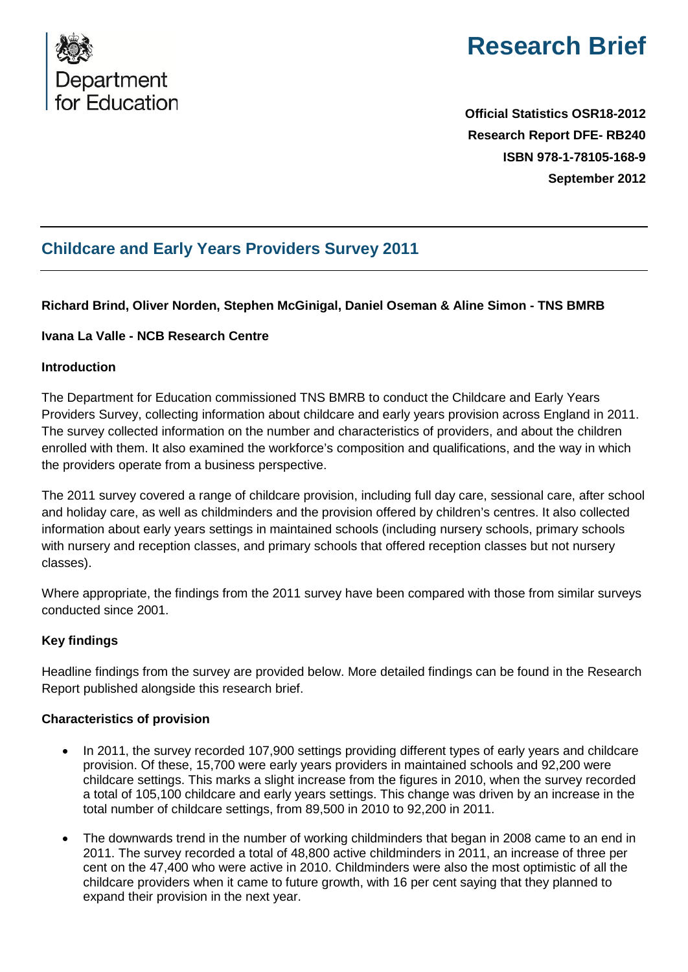

# **Research Brief**

**Official Statistics OSR18-2012 Research Report DFE- RB240 ISBN 978-1-78105-168-9 September 2012**

# **Childcare and Early Years Providers Survey 2011**

# **Richard Brind, Oliver Norden, Stephen McGinigal, Daniel Oseman & Aline Simon - TNS BMRB**

## **Ivana La Valle - NCB Research Centre**

#### **Introduction**

The Department for Education commissioned TNS BMRB to conduct the Childcare and Early Years Providers Survey, collecting information about childcare and early years provision across England in 2011. The survey collected information on the number and characteristics of providers, and about the children enrolled with them. It also examined the workforce's composition and qualifications, and the way in which the providers operate from a business perspective.

The 2011 survey covered a range of childcare provision, including full day care, sessional care, after school and holiday care, as well as childminders and the provision offered by children's centres. It also collected information about early years settings in maintained schools (including nursery schools, primary schools with nursery and reception classes, and primary schools that offered reception classes but not nursery classes).

Where appropriate, the findings from the 2011 survey have been compared with those from similar surveys conducted since 2001.

#### **Key findings**

Headline findings from the survey are provided below. More detailed findings can be found in the Research Report published alongside this research brief.

#### **Characteristics of provision**

- In 2011, the survey recorded 107,900 settings providing different types of early years and childcare provision. Of these, 15,700 were early years providers in maintained schools and 92,200 were childcare settings. This marks a slight increase from the figures in 2010, when the survey recorded a total of 105,100 childcare and early years settings. This change was driven by an increase in the total number of childcare settings, from 89,500 in 2010 to 92,200 in 2011.
- The downwards trend in the number of working childminders that began in 2008 came to an end in 2011. The survey recorded a total of 48,800 active childminders in 2011, an increase of three per cent on the 47,400 who were active in 2010. Childminders were also the most optimistic of all the childcare providers when it came to future growth, with 16 per cent saying that they planned to expand their provision in the next year.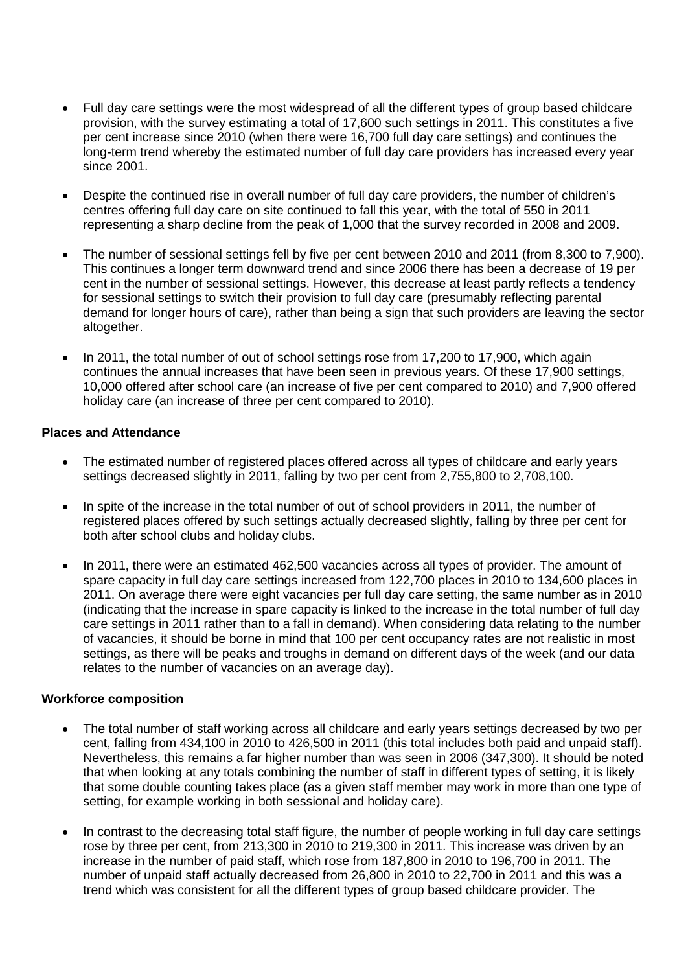- Full day care settings were the most widespread of all the different types of group based childcare provision, with the survey estimating a total of 17,600 such settings in 2011. This constitutes a five per cent increase since 2010 (when there were 16,700 full day care settings) and continues the long-term trend whereby the estimated number of full day care providers has increased every year since 2001.
- Despite the continued rise in overall number of full day care providers, the number of children's centres offering full day care on site continued to fall this year, with the total of 550 in 2011 representing a sharp decline from the peak of 1,000 that the survey recorded in 2008 and 2009.
- The number of sessional settings fell by five per cent between 2010 and 2011 (from 8,300 to 7,900). This continues a longer term downward trend and since 2006 there has been a decrease of 19 per cent in the number of sessional settings. However, this decrease at least partly reflects a tendency for sessional settings to switch their provision to full day care (presumably reflecting parental demand for longer hours of care), rather than being a sign that such providers are leaving the sector altogether.
- In 2011, the total number of out of school settings rose from 17,200 to 17,900, which again continues the annual increases that have been seen in previous years. Of these 17,900 settings, 10,000 offered after school care (an increase of five per cent compared to 2010) and 7,900 offered holiday care (an increase of three per cent compared to 2010).

#### **Places and Attendance**

- The estimated number of registered places offered across all types of childcare and early years settings decreased slightly in 2011, falling by two per cent from 2,755,800 to 2,708,100.
- In spite of the increase in the total number of out of school providers in 2011, the number of registered places offered by such settings actually decreased slightly, falling by three per cent for both after school clubs and holiday clubs.
- In 2011, there were an estimated 462,500 vacancies across all types of provider. The amount of spare capacity in full day care settings increased from 122,700 places in 2010 to 134,600 places in 2011. On average there were eight vacancies per full day care setting, the same number as in 2010 (indicating that the increase in spare capacity is linked to the increase in the total number of full day care settings in 2011 rather than to a fall in demand). When considering data relating to the number of vacancies, it should be borne in mind that 100 per cent occupancy rates are not realistic in most settings, as there will be peaks and troughs in demand on different days of the week (and our data relates to the number of vacancies on an average day).

#### **Workforce composition**

- The total number of staff working across all childcare and early years settings decreased by two per cent, falling from 434,100 in 2010 to 426,500 in 2011 (this total includes both paid and unpaid staff). Nevertheless, this remains a far higher number than was seen in 2006 (347,300). It should be noted that when looking at any totals combining the number of staff in different types of setting, it is likely that some double counting takes place (as a given staff member may work in more than one type of setting, for example working in both sessional and holiday care).
- In contrast to the decreasing total staff figure, the number of people working in full day care settings rose by three per cent, from 213,300 in 2010 to 219,300 in 2011. This increase was driven by an increase in the number of paid staff, which rose from 187,800 in 2010 to 196,700 in 2011. The number of unpaid staff actually decreased from 26,800 in 2010 to 22,700 in 2011 and this was a trend which was consistent for all the different types of group based childcare provider. The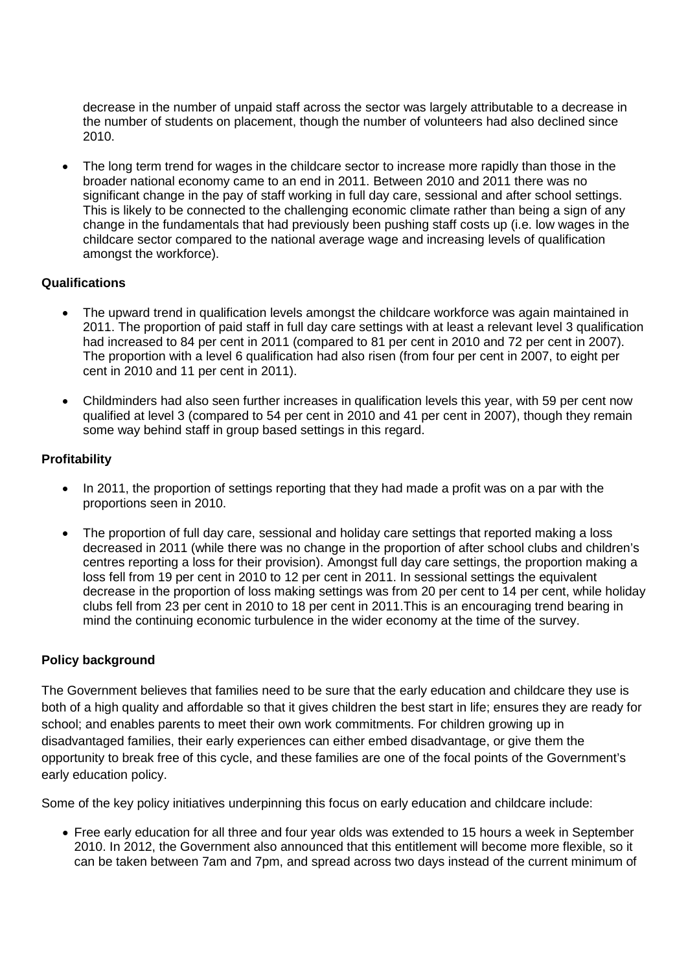decrease in the number of unpaid staff across the sector was largely attributable to a decrease in the number of students on placement, though the number of volunteers had also declined since 2010.

• The long term trend for wages in the childcare sector to increase more rapidly than those in the broader national economy came to an end in 2011. Between 2010 and 2011 there was no significant change in the pay of staff working in full day care, sessional and after school settings. This is likely to be connected to the challenging economic climate rather than being a sign of any change in the fundamentals that had previously been pushing staff costs up (i.e. low wages in the childcare sector compared to the national average wage and increasing levels of qualification amongst the workforce).

#### **Qualifications**

- The upward trend in qualification levels amongst the childcare workforce was again maintained in 2011. The proportion of paid staff in full day care settings with at least a relevant level 3 qualification had increased to 84 per cent in 2011 (compared to 81 per cent in 2010 and 72 per cent in 2007). The proportion with a level 6 qualification had also risen (from four per cent in 2007, to eight per cent in 2010 and 11 per cent in 2011).
- Childminders had also seen further increases in qualification levels this year, with 59 per cent now qualified at level 3 (compared to 54 per cent in 2010 and 41 per cent in 2007), though they remain some way behind staff in group based settings in this regard.

# **Profitability**

- In 2011, the proportion of settings reporting that they had made a profit was on a par with the proportions seen in 2010.
- The proportion of full day care, sessional and holiday care settings that reported making a loss decreased in 2011 (while there was no change in the proportion of after school clubs and children's centres reporting a loss for their provision). Amongst full day care settings, the proportion making a loss fell from 19 per cent in 2010 to 12 per cent in 2011. In sessional settings the equivalent decrease in the proportion of loss making settings was from 20 per cent to 14 per cent, while holiday clubs fell from 23 per cent in 2010 to 18 per cent in 2011.This is an encouraging trend bearing in mind the continuing economic turbulence in the wider economy at the time of the survey.

#### **Policy background**

The Government believes that families need to be sure that the early education and childcare they use is both of a high quality and affordable so that it gives children the best start in life; ensures they are ready for school; and enables parents to meet their own work commitments. For children growing up in disadvantaged families, their early experiences can either embed disadvantage, or give them the opportunity to break free of this cycle, and these families are one of the focal points of the Government's early education policy.

Some of the key policy initiatives underpinning this focus on early education and childcare include:

• Free early education for all three and four year olds was extended to 15 hours a week in September 2010. In 2012, the Government also announced that this entitlement will become more flexible, so it can be taken between 7am and 7pm, and spread across two days instead of the current minimum of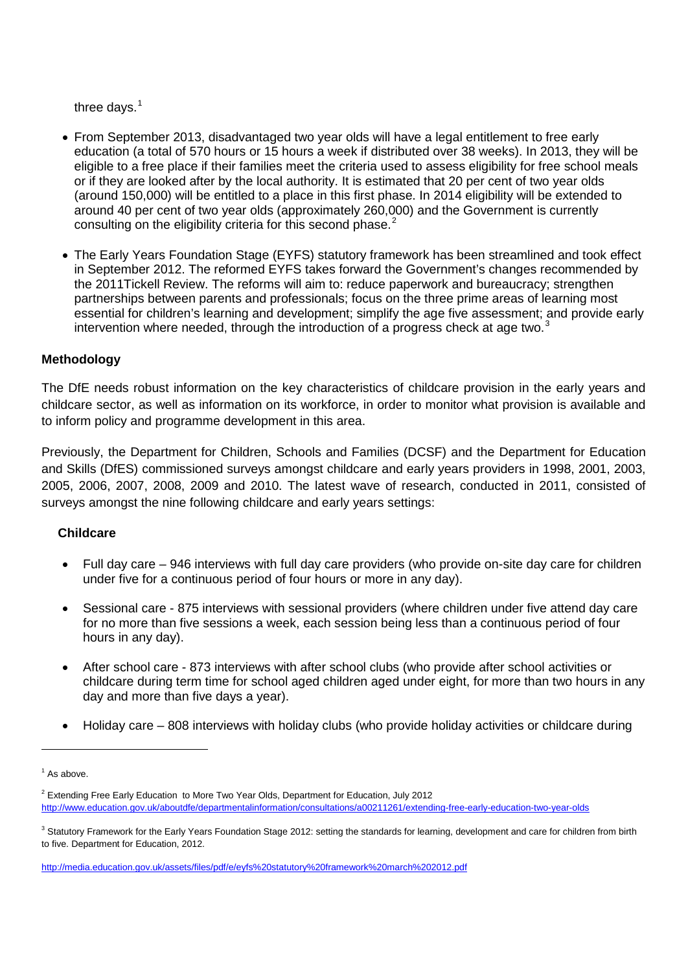three days. $1$ 

- From September 2013, disadvantaged two year olds will have a legal entitlement to free early education (a total of 570 hours or 15 hours a week if distributed over 38 weeks). In 2013, they will be eligible to a free place if their families meet the criteria used to assess eligibility for free school meals or if they are looked after by the local authority. It is estimated that 20 per cent of two year olds (around 150,000) will be entitled to a place in this first phase. In 2014 eligibility will be extended to around 40 per cent of two year olds (approximately 260,000) and the Government is currently consulting on the eligibility criteria for this second phase.<sup>[2](#page-3-1)</sup>
- The Early Years Foundation Stage (EYFS) statutory framework has been streamlined and took effect in September 2012. The reformed EYFS takes forward the Government's changes recommended by the 2011Tickell Review. The reforms will aim to: reduce paperwork and bureaucracy; strengthen partnerships between parents and professionals; focus on the three prime areas of learning most essential for children's learning and development; simplify the age five assessment; and provide early intervention where needed, through the introduction of a progress check at age two. $3$

## **Methodology**

The DfE needs robust information on the key characteristics of childcare provision in the early years and childcare sector, as well as information on its workforce, in order to monitor what provision is available and to inform policy and programme development in this area.

Previously, the Department for Children, Schools and Families (DCSF) and the Department for Education and Skills (DfES) commissioned surveys amongst childcare and early years providers in 1998, 2001, 2003, 2005, 2006, 2007, 2008, 2009 and 2010. The latest wave of research, conducted in 2011, consisted of surveys amongst the nine following childcare and early years settings:

#### **Childcare**

- Full day care 946 interviews with full day care providers (who provide on-site day care for children under five for a continuous period of four hours or more in any day).
- Sessional care 875 interviews with sessional providers (where children under five attend day care for no more than five sessions a week, each session being less than a continuous period of four hours in any day).
- After school care 873 interviews with after school clubs (who provide after school activities or childcare during term time for school aged children aged under eight, for more than two hours in any day and more than five days a year).
- Holiday care 808 interviews with holiday clubs (who provide holiday activities or childcare during

-

<span id="page-3-0"></span> $<sup>1</sup>$  As above.</sup>

<span id="page-3-1"></span><sup>&</sup>lt;sup>2</sup> Extending Free Early Education to More Two Year Olds, Department for Education, July 2012 <http://www.education.gov.uk/aboutdfe/departmentalinformation/consultations/a00211261/extending-free-early-education-two-year-olds>

<span id="page-3-2"></span><sup>&</sup>lt;sup>3</sup> Statutory Framework for the Early Years Foundation Stage 2012: setting the standards for learning, development and care for children from birth to five. Department for Education, 2012.